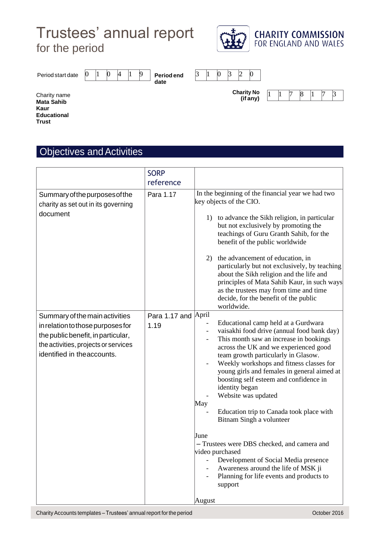# Trustees' annual report for the period



Period start date

0 |1 |0 |4 |1 |9 | Periodend |3 |1 |0 |3 |2 |0 **date**

**Charity No (if any)**



Charity name **Mata Sahib Kaur Educational Trust** 

### **Objectives and Activities**

|                                                                                                                                                                                  | <b>SORP</b><br>reference |                                                                                                                                                                                                                                                                                                                                                                                                                                                                                                                                                                                                                                                                                                                                         |
|----------------------------------------------------------------------------------------------------------------------------------------------------------------------------------|--------------------------|-----------------------------------------------------------------------------------------------------------------------------------------------------------------------------------------------------------------------------------------------------------------------------------------------------------------------------------------------------------------------------------------------------------------------------------------------------------------------------------------------------------------------------------------------------------------------------------------------------------------------------------------------------------------------------------------------------------------------------------------|
| Summary of the purposes of the<br>charity as set out in its governing<br>document                                                                                                | Para 1.17                | In the beginning of the financial year we had two<br>key objects of the CIO.<br>to advance the Sikh religion, in particular<br>1)<br>but not exclusively by promoting the<br>teachings of Guru Granth Sahib, for the<br>benefit of the public worldwide<br>the advancement of education, in<br>2)<br>particularly but not exclusively, by teaching<br>about the Sikh religion and the life and<br>principles of Mata Sahib Kaur, in such ways<br>as the trustees may from time and time<br>decide, for the benefit of the public<br>worldwide.                                                                                                                                                                                          |
| Summary of the main activities<br>in relation to those purposes for<br>the public benefit, in particular,<br>the activities, projects or services<br>identified in the accounts. | Para 1.17 and<br>1.19    | April<br>Educational camp held at a Gurdwara<br>vaisakhi food drive (annual food bank day)<br>$\overline{\phantom{a}}$<br>This month saw an increase in bookings<br>across the UK and we experienced good<br>team growth particularly in Glasow.<br>Weekly workshops and fitness classes for<br>young girls and females in general aimed at<br>boosting self esteem and confidence in<br>identity began<br>Website was updated<br>May<br>Education trip to Canada took place with<br>Bitnam Singh a volunteer<br>June<br>- Trustees were DBS checked, and camera and<br>video purchased<br>Development of Social Media presence<br>Awareness around the life of MSK ji<br>Planning for life events and products to<br>support<br>August |

Charity Accounts templates – Trustees' annual report for the period Charity Accounts templates – Trustees' annual report for the period Charity Accounts templates – Trustees' annual report for the period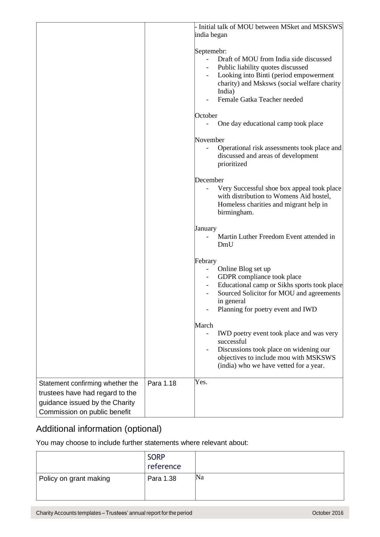|                                                                                                                                       |           | - Initial talk of MOU between MSket and MSKSWS                                                                                                                                                                                        |
|---------------------------------------------------------------------------------------------------------------------------------------|-----------|---------------------------------------------------------------------------------------------------------------------------------------------------------------------------------------------------------------------------------------|
|                                                                                                                                       |           | india began                                                                                                                                                                                                                           |
|                                                                                                                                       |           | Septemebr:<br>Draft of MOU from India side discussed<br>Public liability quotes discussed<br>Looking into Binti (period empowerment<br>charity) and Msksws (social welfare charity<br>India)<br>Female Gatka Teacher needed           |
|                                                                                                                                       |           | October                                                                                                                                                                                                                               |
|                                                                                                                                       |           | One day educational camp took place                                                                                                                                                                                                   |
|                                                                                                                                       |           | November<br>Operational risk assessments took place and<br>discussed and areas of development<br>prioritized                                                                                                                          |
|                                                                                                                                       |           | December<br>Very Successful shoe box appeal took place<br>with distribution to Womens Aid hostel,<br>Homeless charities and migrant help in<br>birmingham.                                                                            |
|                                                                                                                                       |           | January<br>Martin Luther Freedom Event attended in<br>DmU                                                                                                                                                                             |
|                                                                                                                                       |           | Febrary<br>Online Blog set up<br>$\overline{\phantom{a}}$<br>GDPR compliance took place<br>Educational camp or Sikhs sports took place<br>Sourced Solicitor for MOU and agreements<br>in general<br>Planning for poetry event and IWD |
|                                                                                                                                       |           | March<br>IWD poetry event took place and was very<br>successful<br>Discussions took place on widening our<br>objectives to include mou with MSKSWS<br>(india) who we have vetted for a year.                                          |
| Statement confirming whether the<br>trustees have had regard to the<br>guidance issued by the Charity<br>Commission on public benefit | Para 1.18 | Yes.                                                                                                                                                                                                                                  |

### Additional information (optional)

|                        | <b>SORP</b><br>reference |    |
|------------------------|--------------------------|----|
| Policy on grant making | Para 1.38                | Na |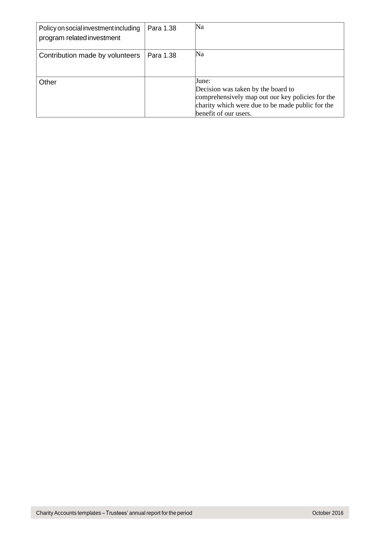| Policy on social investment including<br>program related investment | Para 1.38 | Na                                                                                                                                                                           |
|---------------------------------------------------------------------|-----------|------------------------------------------------------------------------------------------------------------------------------------------------------------------------------|
| Contribution made by volunteers                                     | Para 1.38 | Na                                                                                                                                                                           |
| Other                                                               |           | June:<br>Decision was taken by the board to<br>comprehensively map out our key policies for the<br>charity which were due to be made public for the<br>benefit of our users. |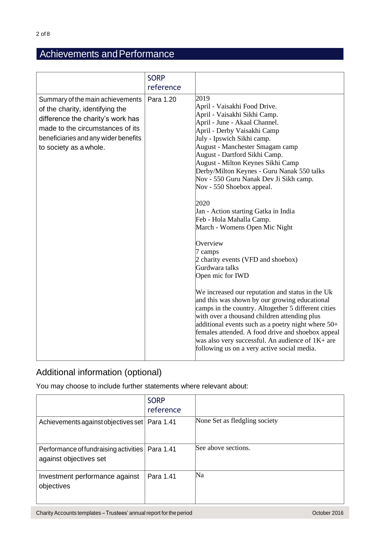## Achievements and Performance

|                                                                                                                                                                                                                | <b>SORP</b><br>reference |                                                                                                                                                                                                                                                                                                                                                                                                                                                                                                                                                                                                                                                                                                                                                                                                                                                                                                                                                                                                                                                |
|----------------------------------------------------------------------------------------------------------------------------------------------------------------------------------------------------------------|--------------------------|------------------------------------------------------------------------------------------------------------------------------------------------------------------------------------------------------------------------------------------------------------------------------------------------------------------------------------------------------------------------------------------------------------------------------------------------------------------------------------------------------------------------------------------------------------------------------------------------------------------------------------------------------------------------------------------------------------------------------------------------------------------------------------------------------------------------------------------------------------------------------------------------------------------------------------------------------------------------------------------------------------------------------------------------|
| Summary of the main achievements<br>of the charity, identifying the<br>difference the charity's work has<br>made to the circumstances of its<br>beneficiaries and any wider benefits<br>to society as a whole. | Para 1.20                | 2019<br>April - Vaisakhi Food Drive.<br>April - Vaisakhi Sikhi Camp.<br>April - June - Akaal Channel.<br>April - Derby Vaisakhi Camp<br>July - Ipswich Sikhi camp.<br>August - Manchester Smagam camp<br>August - Dartford Sikhi Camp.<br>August - Milton Keynes Sikhi Camp<br>Derby/Milton Keynes - Guru Nanak 550 talks<br>Nov - 550 Guru Nanak Dev Ji Sikh camp.<br>Nov - 550 Shoebox appeal.<br>2020<br>Jan - Action starting Gatka in India<br>Feb - Hola Mahalla Camp.<br>March - Womens Open Mic Night<br>Overview<br>7 camps<br>2 charity events (VFD and shoebox)<br>Gurdwara talks<br>Open mic for IWD<br>We increased our reputation and status in the Uk<br>and this was shown by our growing educational<br>camps in the country. Altogether 5 different cities<br>with over a thousand children attending plus<br>additional events such as a poetry night where $50+$<br>females attended. A food drive and shoebox appeal<br>was also very successful. An audience of $1K+$ are<br>following us on a very active social media. |

### Additional information (optional)

|                                                                             | <b>SORP</b><br>reference |                               |
|-----------------------------------------------------------------------------|--------------------------|-------------------------------|
| Achievements against objectives set   Para 1.41                             |                          | None Set as fledgling society |
| Performance of fundraising activities   Para 1.41<br>against objectives set |                          | See above sections.           |
| Investment performance against<br>objectives                                | Para 1.41                | Na                            |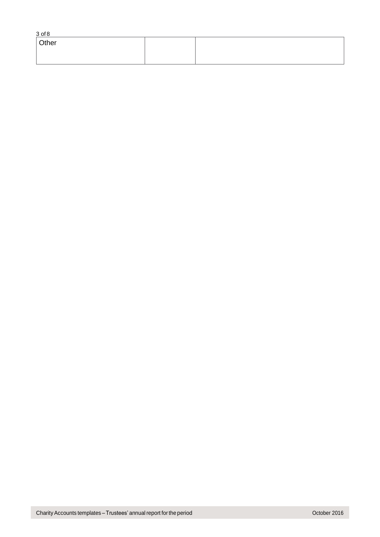| $3$ of $8$ |       |  |  |
|------------|-------|--|--|
|            | Other |  |  |
|            |       |  |  |
|            |       |  |  |
|            |       |  |  |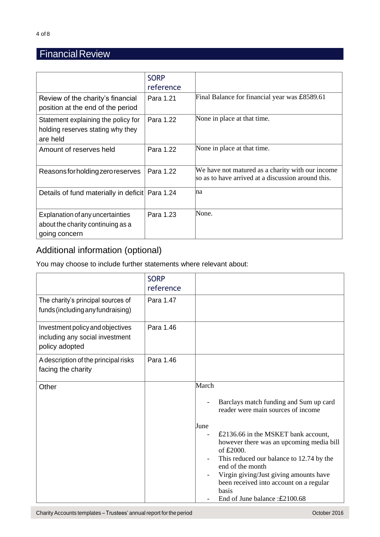## **Financial Review**

|                                                                                        | <b>SORP</b><br>reference |                                                                                                        |
|----------------------------------------------------------------------------------------|--------------------------|--------------------------------------------------------------------------------------------------------|
| Review of the charity's financial<br>position at the end of the period                 | Para 1.21                | Final Balance for financial year was £8589.61                                                          |
| Statement explaining the policy for<br>holding reserves stating why they<br>are held   | Para 1.22                | None in place at that time.                                                                            |
| Amount of reserves held                                                                | Para 1.22                | None in place at that time.                                                                            |
| Reasons for holding zero reserves                                                      | Para 1.22                | We have not matured as a charity with our income<br>so as to have arrived at a discussion around this. |
| Details of fund materially in deficit Para 1.24                                        |                          | na                                                                                                     |
| Explanation of any uncertainties<br>about the charity continuing as a<br>going concern | Para 1.23                | None.                                                                                                  |

## Additional information (optional)

|                                                                                       | <b>SORP</b><br>reference |                                                                                                                                                                                                                                                                                                                                                                                              |
|---------------------------------------------------------------------------------------|--------------------------|----------------------------------------------------------------------------------------------------------------------------------------------------------------------------------------------------------------------------------------------------------------------------------------------------------------------------------------------------------------------------------------------|
| The charity's principal sources of<br>funds (including any fundraising)               | Para 1.47                |                                                                                                                                                                                                                                                                                                                                                                                              |
| Investment policy and objectives<br>including any social investment<br>policy adopted | Para 1.46                |                                                                                                                                                                                                                                                                                                                                                                                              |
| A description of the principal risks<br>facing the charity                            | Para 1.46                |                                                                                                                                                                                                                                                                                                                                                                                              |
| Other                                                                                 |                          | March<br>Barclays match funding and Sum up card<br>reader were main sources of income<br>June<br>£2136.66 in the MSKET bank account,<br>however there was an upcoming media bill<br>of £2000.<br>This reduced our balance to 12.74 by the<br>end of the month<br>Virgin giving/Just giving amounts have<br>been received into account on a regular<br>basis<br>End of June balance: £2100.68 |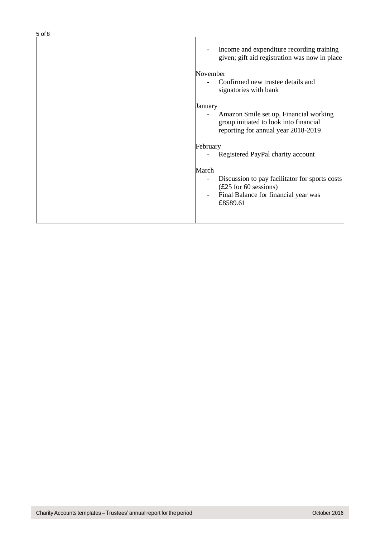| $5$ of $8$ |                                                                                                                                        |
|------------|----------------------------------------------------------------------------------------------------------------------------------------|
|            | Income and expenditure recording training<br>given; gift aid registration was now in place                                             |
|            | November<br>Confirmed new trustee details and<br>signatories with bank                                                                 |
|            | January<br>Amazon Smile set up, Financial working<br>group initiated to look into financial<br>reporting for annual year 2018-2019     |
|            | February<br>Registered PayPal charity account                                                                                          |
|            | March<br>Discussion to pay facilitator for sports costs<br>$(E25$ for 60 sessions)<br>Final Balance for financial year was<br>£8589.61 |
|            |                                                                                                                                        |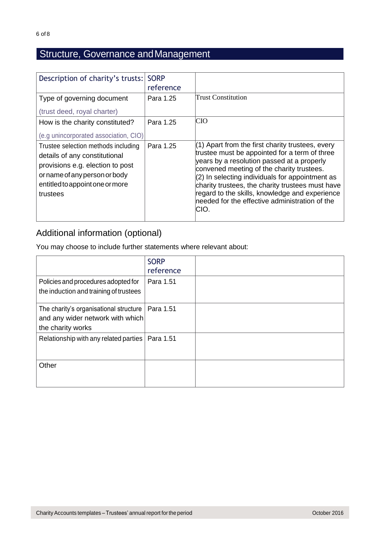## Structure, Governance andManagement

| Description of charity's trusts:                                                                                                                                                         | <b>SORP</b><br>reference |                                                                                                                                                                                                                                                                                                                                                                                                                     |
|------------------------------------------------------------------------------------------------------------------------------------------------------------------------------------------|--------------------------|---------------------------------------------------------------------------------------------------------------------------------------------------------------------------------------------------------------------------------------------------------------------------------------------------------------------------------------------------------------------------------------------------------------------|
| Type of governing document<br>(trust deed, royal charter)                                                                                                                                | Para 1.25                | Trust Constitution                                                                                                                                                                                                                                                                                                                                                                                                  |
| How is the charity constituted?<br>(e.g unincorporated association, CIO)                                                                                                                 | Para 1.25                | CIO                                                                                                                                                                                                                                                                                                                                                                                                                 |
| Trustee selection methods including<br>details of any constitutional<br>provisions e.g. election to post<br>or name of any person or body<br>entitled to appoint one or more<br>trustees | Para 1.25                | $(1)$ Apart from the first charity trustees, every<br>trustee must be appointed for a term of three<br>years by a resolution passed at a properly<br>convened meeting of the charity trustees.<br>$(2)$ In selecting individuals for appointment as<br>charity trustees, the charity trustees must have<br>regard to the skills, knowledge and experience<br>needed for the effective administration of the<br>CIO. |

### Additional information (optional)

|                                                                                                 | <b>SORP</b><br>reference |  |
|-------------------------------------------------------------------------------------------------|--------------------------|--|
| Policies and procedures adopted for<br>the induction and training of trustees                   | Para 1.51                |  |
| The charity's organisational structure<br>and any wider network with which<br>the charity works | Para 1.51                |  |
| Relationship with any related parties                                                           | Para 1.51                |  |
| Other                                                                                           |                          |  |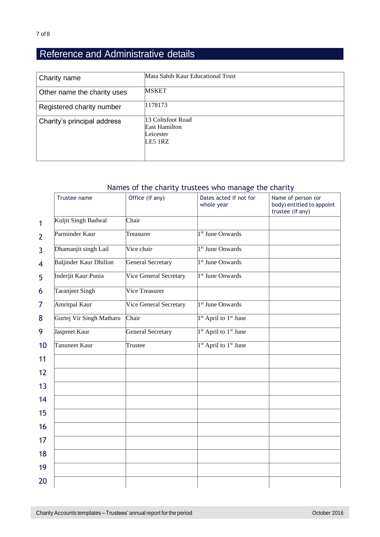## Reference and Administrative details

| Charity name                | Mata Sahib Kaur Educational Trust                                   |
|-----------------------------|---------------------------------------------------------------------|
| Other name the charity uses | <b>MSKET</b>                                                        |
| Registered charity number   | 1178173                                                             |
| Charity's principal address | 13 Coltsfoot Road<br><b>East Hamilton</b><br>Leicester<br>$LE5$ 1RZ |

#### Names of the charity trustees who manage the charity

|                | Trustee name                  | Office (if any)          | Dates acted if not for<br>whole year         | Name of person (or<br>body) entitled to appoint<br>trustee (if any) |
|----------------|-------------------------------|--------------------------|----------------------------------------------|---------------------------------------------------------------------|
| 1              | Kuljit Singh Badwal           | Chair                    |                                              |                                                                     |
| $\overline{2}$ | Parminder Kaur                | Treasurer                | 1 <sup>st</sup> June Onwards                 |                                                                     |
| 3              | Dhamanjit singh Lail          | Vice chair               | 1 <sup>st</sup> June Onwards                 |                                                                     |
| 4              | <b>Baljinder Kaur Dhillon</b> | General Secretary        | 1 <sup>st</sup> June Onwards                 |                                                                     |
| 5              | Inderjit Kaur Punia           | Vice General Secretary   | 1 <sup>st</sup> June Onwards                 |                                                                     |
| 6              | Taranjeet Singh               | Vice Treasurer           |                                              |                                                                     |
| 7              | Amritpal Kaur                 | Vice General Secretary   | 1 <sup>st</sup> June Onwards                 |                                                                     |
| 8              | Gurtej Vir Singh Matharu      | Chair                    | <sup>1st</sup> April to <sup>1st</sup> June  |                                                                     |
| 9              | Jaspreet Kaur                 | <b>General Secretary</b> | <sup>1st</sup> April to <sup>1st</sup> June  |                                                                     |
| 10             | Tanuneet Kaur                 | Trustee                  | <sup>1st</sup> April to 1 <sup>st</sup> June |                                                                     |
| 11             |                               |                          |                                              |                                                                     |
| 12             |                               |                          |                                              |                                                                     |
| 13             |                               |                          |                                              |                                                                     |
| 14             |                               |                          |                                              |                                                                     |
| 15             |                               |                          |                                              |                                                                     |
| 16             |                               |                          |                                              |                                                                     |
| 17             |                               |                          |                                              |                                                                     |
| 18             |                               |                          |                                              |                                                                     |
| 19             |                               |                          |                                              |                                                                     |
| 20             |                               |                          |                                              |                                                                     |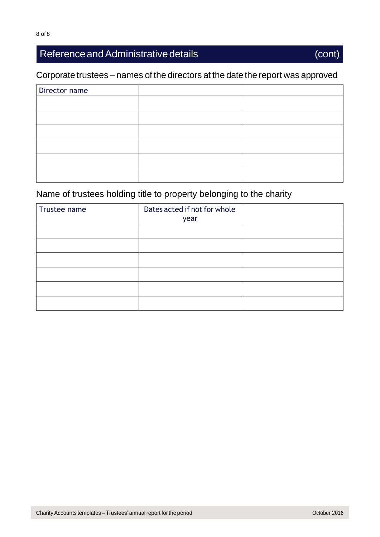## Reference and Administrative details (cont)

### Corporate trustees – names of the directors at the date the report was approved

| Director name |  |
|---------------|--|
|               |  |
|               |  |
|               |  |
|               |  |
|               |  |
|               |  |

## Name of trustees holding title to property belonging to the charity

| Trustee name | Dates acted if not for whole<br>year |  |
|--------------|--------------------------------------|--|
|              |                                      |  |
|              |                                      |  |
|              |                                      |  |
|              |                                      |  |
|              |                                      |  |
|              |                                      |  |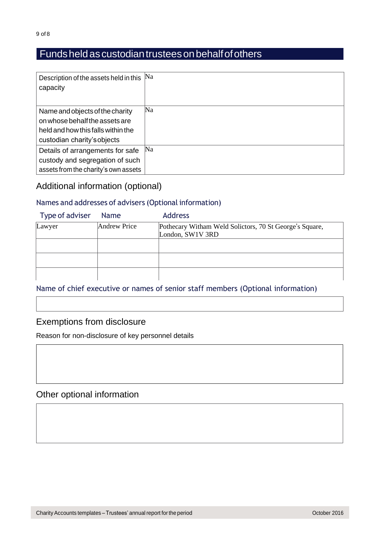### Fundsheldascustodiantrusteesonbehalfofothers

| Description of the assets held in this | Na |
|----------------------------------------|----|
| capacity                               |    |
|                                        |    |
| Name and objects of the charity        | Na |
| on whose behalf the assets are         |    |
| held and how this falls within the     |    |
| custodian charity's objects            |    |
| Details of arrangements for safe       | Na |
| custody and segregation of such        |    |
| assets from the charity's own assets   |    |

## Additional information (optional)

#### Names and addresses of advisers (Optional information)

| Type of adviser | Name         | <b>Address</b>                                                              |
|-----------------|--------------|-----------------------------------------------------------------------------|
| Lawyer          | Andrew Price | Pothecary Witham Weld Solictors, 70 St George's Square,<br>London, SW1V 3RD |
|                 |              |                                                                             |
|                 |              |                                                                             |
|                 |              |                                                                             |

#### Name of chief executive or names of senior staff members (Optional information)

#### Exemptions from disclosure

Reason for non-disclosure of key personnel details

#### Other optional information

Charity Accounts templates – Trustees' annual report for the period Charity Accounts templates – Trustees' annual report for the period Charity Accounts templates – Trustees' annual report for the period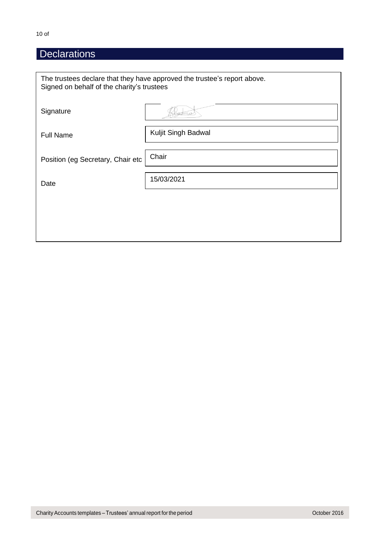## **Declarations**

| The trustees declare that they have approved the trustee's report above.<br>Signed on behalf of the charity's trustees |                     |  |  |
|------------------------------------------------------------------------------------------------------------------------|---------------------|--|--|
| Signature                                                                                                              | LLCD-               |  |  |
| <b>Full Name</b>                                                                                                       | Kuljit Singh Badwal |  |  |
| Position (eg Secretary, Chair etc                                                                                      | Chair               |  |  |
| Date                                                                                                                   | 15/03/2021          |  |  |
|                                                                                                                        |                     |  |  |
|                                                                                                                        |                     |  |  |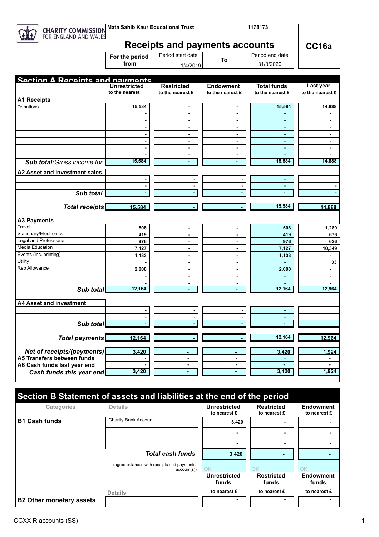| <b>CHARITY COMMISSION</b><br>FOR ENGLAND AND WALES | <b>Mata Sahib Kaur Educational Trust</b> |                                       | 1178173                              |                                        |                                  |  |
|----------------------------------------------------|------------------------------------------|---------------------------------------|--------------------------------------|----------------------------------------|----------------------------------|--|
|                                                    | <b>Receipts and payments accounts</b>    |                                       |                                      |                                        | CC16a                            |  |
|                                                    | For the period<br>from                   | Period start date<br>1/4/2019         | To                                   | Period end date<br>31/3/2020           |                                  |  |
| <b>Section A Receints and navments</b>             | <b>Unrestricted</b><br>to the nearest    | <b>Restricted</b><br>to the nearest £ | <b>Endowment</b><br>to the nearest £ | <b>Total funds</b><br>to the nearest £ | Last year<br>to the nearest £    |  |
| <b>A1 Receipts</b>                                 |                                          |                                       |                                      |                                        |                                  |  |
| Donations                                          | 15,584                                   | $\blacksquare$<br>$\blacksquare$      | $\blacksquare$<br>$\blacksquare$     | 15,584                                 | 14,888                           |  |
|                                                    |                                          |                                       |                                      |                                        |                                  |  |
|                                                    |                                          | $\blacksquare$<br>$\blacksquare$      | $\blacksquare$<br>$\blacksquare$     | $\blacksquare$<br>$\blacksquare$       | $\blacksquare$<br>$\blacksquare$ |  |
|                                                    |                                          | $\blacksquare$                        | $\blacksquare$                       | $\blacksquare$                         | $\qquad \qquad \blacksquare$     |  |
|                                                    |                                          | $\blacksquare$                        | $\blacksquare$                       | $\blacksquare$                         | $\blacksquare$                   |  |
|                                                    |                                          | $\blacksquare$                        | $\blacksquare$                       | $\blacksquare$                         | $\overline{\phantom{0}}$         |  |
|                                                    |                                          | $\blacksquare$                        | $\blacksquare$                       | $\blacksquare$                         |                                  |  |
| Sub total (Gross income for                        | 15,584                                   |                                       |                                      | 15,584                                 | 14,888                           |  |
|                                                    |                                          |                                       |                                      |                                        |                                  |  |
| A2 Asset and investment sales,                     |                                          |                                       |                                      |                                        |                                  |  |
|                                                    |                                          |                                       |                                      |                                        |                                  |  |
|                                                    |                                          |                                       | $\blacksquare$                       | $\blacksquare$                         |                                  |  |
| Sub total                                          |                                          |                                       |                                      |                                        |                                  |  |
|                                                    |                                          |                                       |                                      | 15,584                                 |                                  |  |
| Total receipts                                     | 15,584                                   |                                       |                                      |                                        | 14,888                           |  |
| <b>A3 Payments</b>                                 |                                          |                                       |                                      |                                        |                                  |  |
| Travel                                             | 508                                      | $\blacksquare$                        | $\blacksquare$                       | 508                                    | 1,280                            |  |
| Stationary/Electronics                             | 419                                      | $\blacksquare$                        | $\blacksquare$                       | 419                                    | 676                              |  |
| Legal and Professional                             | 976                                      | $\blacksquare$                        | $\blacksquare$                       | 976                                    | 626                              |  |
| Media Education                                    | 7,127                                    | $\blacksquare$                        | $\blacksquare$                       | 7,127                                  | 10,349                           |  |
| Events (inc. printing)                             | 1,133                                    | $\overline{\phantom{a}}$              | $\blacksquare$                       | 1,133                                  |                                  |  |
| Utility                                            |                                          | $\overline{\phantom{a}}$              | $\blacksquare$                       | $\blacksquare$                         | 33                               |  |
| Rep Allowance                                      | 2,000                                    | $\blacksquare$                        | $\blacksquare$                       | 2,000                                  | $\overline{\phantom{0}}$         |  |
|                                                    |                                          | $\blacksquare$                        | $\blacksquare$                       | $\blacksquare$                         | $\blacksquare$                   |  |
|                                                    |                                          | $\blacksquare$                        | $\blacksquare$                       |                                        |                                  |  |
| Sub total                                          | 12,164                                   | $\blacksquare$                        | $\blacksquare$                       | 12,164                                 | 12,964                           |  |
|                                                    |                                          |                                       |                                      |                                        |                                  |  |
| <b>A4 Asset and investment</b>                     |                                          |                                       |                                      |                                        |                                  |  |
|                                                    |                                          |                                       | $\blacksquare$                       | $\blacksquare$                         |                                  |  |
| Sub total                                          |                                          |                                       | $\blacksquare$                       | $\blacksquare$                         |                                  |  |
|                                                    |                                          |                                       |                                      |                                        |                                  |  |
| <b>Total payments</b>                              | 12,164                                   |                                       |                                      | 12,164                                 | 12,964                           |  |
| Net of receipts/(payments)                         | 3,420                                    |                                       |                                      | 3,420                                  |                                  |  |
| A5 Transfers between funds                         |                                          | $\blacksquare$                        | ä,                                   |                                        | 1,924                            |  |
| A6 Cash funds last year end                        | ٠                                        | ٠                                     | ۰                                    | $\overline{\phantom{a}}$               |                                  |  |
| Cash funds this year end                           | 3,420                                    |                                       |                                      | 3,420                                  | 1,924                            |  |
|                                                    |                                          |                                       |                                      |                                        |                                  |  |
|                                                    |                                          |                                       |                                      |                                        |                                  |  |

| Section B Statement of assets and liabilities at the end of the period |                                                          |                                     |                                   |                                  |  |
|------------------------------------------------------------------------|----------------------------------------------------------|-------------------------------------|-----------------------------------|----------------------------------|--|
| <b>Categories</b>                                                      | <b>Details</b>                                           | <b>Unrestricted</b><br>to nearest £ | <b>Restricted</b><br>to nearest £ | <b>Endowment</b><br>to nearest £ |  |
| <b>B1 Cash funds</b>                                                   | Charity Bank Account                                     | 3,420                               | $\blacksquare$                    |                                  |  |
|                                                                        |                                                          | $\overline{\phantom{0}}$            | $\blacksquare$                    |                                  |  |
|                                                                        |                                                          |                                     |                                   |                                  |  |
|                                                                        | <b>Total cash funds</b>                                  | 3,420                               |                                   |                                  |  |
|                                                                        | (agree balances with receipts and payments<br>account(s) | ΟK                                  | OK                                | OK                               |  |
|                                                                        |                                                          | Unrestricted<br>funds               | <b>Restricted</b><br>funds        | <b>Endowment</b><br>funds        |  |
|                                                                        | <b>Details</b>                                           | to nearest £                        | to nearest £                      | to nearest £                     |  |
| <b>B2 Other monetary assets</b>                                        |                                                          |                                     |                                   |                                  |  |